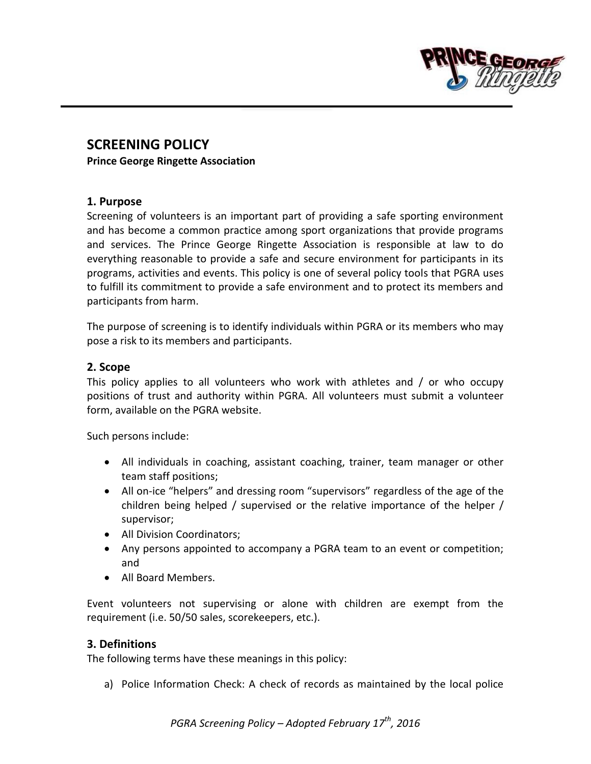

# **SCREENING POLICY**

**Prince George Ringette Association**

#### **1. Purpose**

Screening of volunteers is an important part of providing a safe sporting environment and has become a common practice among sport organizations that provide programs and services. The Prince George Ringette Association is responsible at law to do everything reasonable to provide a safe and secure environment for participants in its programs, activities and events. This policy is one of several policy tools that PGRA uses to fulfill its commitment to provide a safe environment and to protect its members and participants from harm.

The purpose of screening is to identify individuals within PGRA or its members who may pose a risk to its members and participants.

#### **2. Scope**

This policy applies to all volunteers who work with athletes and / or who occupy positions of trust and authority within PGRA. All volunteers must submit a volunteer form, available on the PGRA website.

Such persons include:

- All individuals in coaching, assistant coaching, trainer, team manager or other team staff positions;
- All on-ice "helpers" and dressing room "supervisors" regardless of the age of the children being helped / supervised or the relative importance of the helper / supervisor;
- All Division Coordinators:
- Any persons appointed to accompany a PGRA team to an event or competition; and
- All Board Members.

Event volunteers not supervising or alone with children are exempt from the requirement (i.e. 50/50 sales, scorekeepers, etc.).

## **3. Definitions**

The following terms have these meanings in this policy:

a) Police Information Check: A check of records as maintained by the local police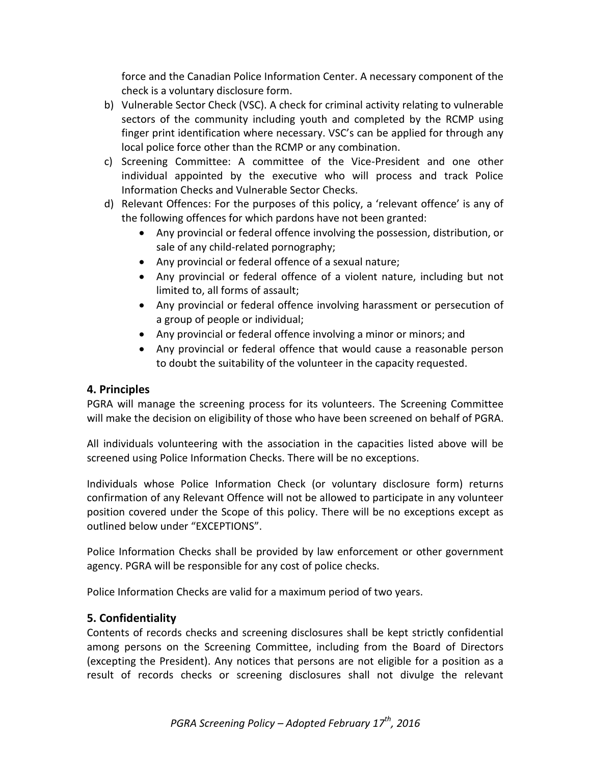force and the Canadian Police Information Center. A necessary component of the check is a voluntary disclosure form.

- b) Vulnerable Sector Check (VSC). A check for criminal activity relating to vulnerable sectors of the community including youth and completed by the RCMP using finger print identification where necessary. VSC's can be applied for through any local police force other than the RCMP or any combination.
- c) Screening Committee: A committee of the Vice-President and one other individual appointed by the executive who will process and track Police Information Checks and Vulnerable Sector Checks.
- d) Relevant Offences: For the purposes of this policy, a 'relevant offence' is any of the following offences for which pardons have not been granted:
	- Any provincial or federal offence involving the possession, distribution, or sale of any child-related pornography;
	- Any provincial or federal offence of a sexual nature;
	- Any provincial or federal offence of a violent nature, including but not limited to, all forms of assault;
	- Any provincial or federal offence involving harassment or persecution of a group of people or individual;
	- Any provincial or federal offence involving a minor or minors; and
	- Any provincial or federal offence that would cause a reasonable person to doubt the suitability of the volunteer in the capacity requested.

## **4. Principles**

PGRA will manage the screening process for its volunteers. The Screening Committee will make the decision on eligibility of those who have been screened on behalf of PGRA.

All individuals volunteering with the association in the capacities listed above will be screened using Police Information Checks. There will be no exceptions.

Individuals whose Police Information Check (or voluntary disclosure form) returns confirmation of any Relevant Offence will not be allowed to participate in any volunteer position covered under the Scope of this policy. There will be no exceptions except as outlined below under "EXCEPTIONS".

Police Information Checks shall be provided by law enforcement or other government agency. PGRA will be responsible for any cost of police checks.

Police Information Checks are valid for a maximum period of two years.

## **5. Confidentiality**

Contents of records checks and screening disclosures shall be kept strictly confidential among persons on the Screening Committee, including from the Board of Directors (excepting the President). Any notices that persons are not eligible for a position as a result of records checks or screening disclosures shall not divulge the relevant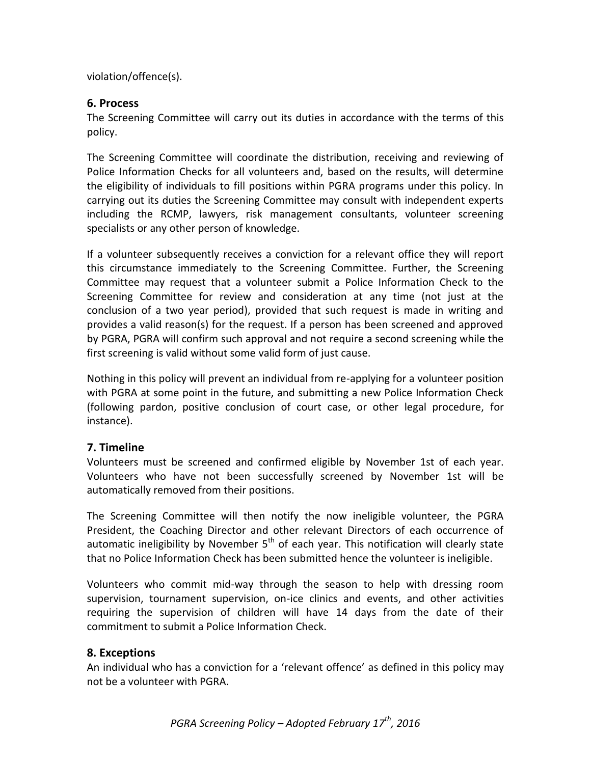violation/offence(s).

## **6. Process**

The Screening Committee will carry out its duties in accordance with the terms of this policy.

The Screening Committee will coordinate the distribution, receiving and reviewing of Police Information Checks for all volunteers and, based on the results, will determine the eligibility of individuals to fill positions within PGRA programs under this policy. In carrying out its duties the Screening Committee may consult with independent experts including the RCMP, lawyers, risk management consultants, volunteer screening specialists or any other person of knowledge.

If a volunteer subsequently receives a conviction for a relevant office they will report this circumstance immediately to the Screening Committee. Further, the Screening Committee may request that a volunteer submit a Police Information Check to the Screening Committee for review and consideration at any time (not just at the conclusion of a two year period), provided that such request is made in writing and provides a valid reason(s) for the request. If a person has been screened and approved by PGRA, PGRA will confirm such approval and not require a second screening while the first screening is valid without some valid form of just cause.

Nothing in this policy will prevent an individual from re-applying for a volunteer position with PGRA at some point in the future, and submitting a new Police Information Check (following pardon, positive conclusion of court case, or other legal procedure, for instance).

## **7. Timeline**

Volunteers must be screened and confirmed eligible by November 1st of each year. Volunteers who have not been successfully screened by November 1st will be automatically removed from their positions.

The Screening Committee will then notify the now ineligible volunteer, the PGRA President, the Coaching Director and other relevant Directors of each occurrence of automatic ineligibility by November  $5<sup>th</sup>$  of each year. This notification will clearly state that no Police Information Check has been submitted hence the volunteer is ineligible.

Volunteers who commit mid-way through the season to help with dressing room supervision, tournament supervision, on-ice clinics and events, and other activities requiring the supervision of children will have 14 days from the date of their commitment to submit a Police Information Check.

## **8. Exceptions**

An individual who has a conviction for a 'relevant offence' as defined in this policy may not be a volunteer with PGRA.